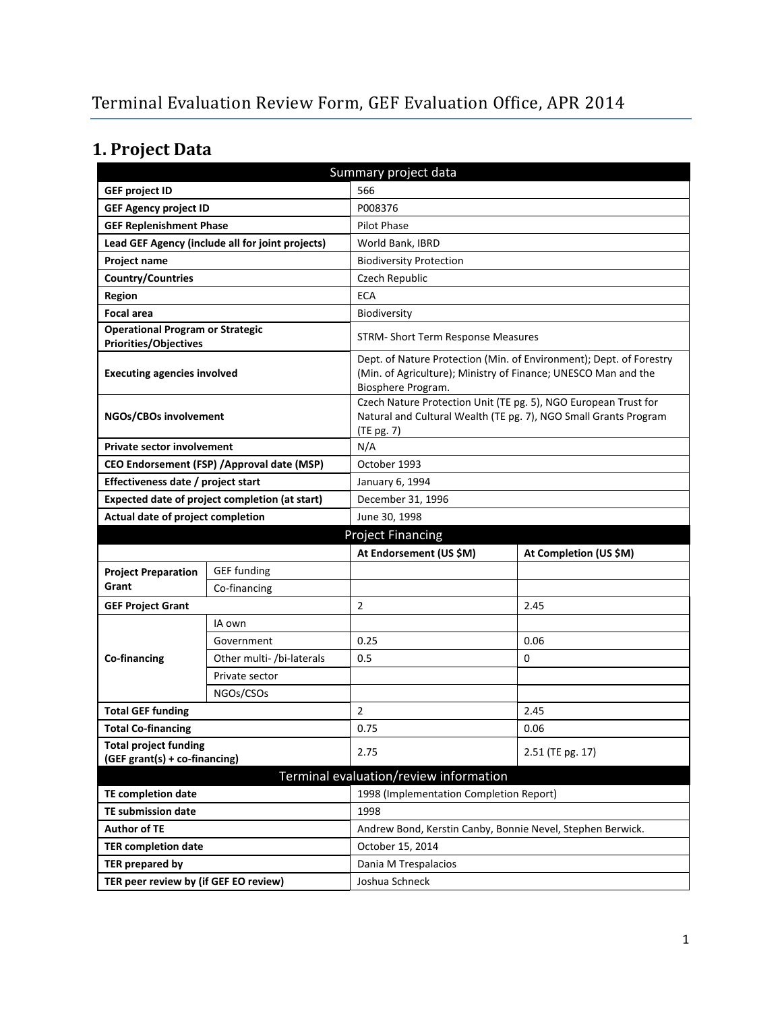# **1. Project Data**

| Summary project data                                             |                                                  |                                                            |                                                                                                                                       |  |  |
|------------------------------------------------------------------|--------------------------------------------------|------------------------------------------------------------|---------------------------------------------------------------------------------------------------------------------------------------|--|--|
| <b>GEF project ID</b>                                            |                                                  | 566                                                        |                                                                                                                                       |  |  |
| <b>GEF Agency project ID</b>                                     |                                                  | P008376                                                    |                                                                                                                                       |  |  |
| <b>GEF Replenishment Phase</b>                                   |                                                  | Pilot Phase                                                |                                                                                                                                       |  |  |
|                                                                  | Lead GEF Agency (include all for joint projects) | World Bank, IBRD                                           |                                                                                                                                       |  |  |
| <b>Project name</b>                                              |                                                  | <b>Biodiversity Protection</b>                             |                                                                                                                                       |  |  |
| <b>Country/Countries</b>                                         |                                                  | Czech Republic                                             |                                                                                                                                       |  |  |
| <b>Region</b>                                                    |                                                  | <b>ECA</b>                                                 |                                                                                                                                       |  |  |
| <b>Focal area</b>                                                |                                                  | Biodiversity                                               |                                                                                                                                       |  |  |
| <b>Operational Program or Strategic</b><br>Priorities/Objectives |                                                  | STRM- Short Term Response Measures                         |                                                                                                                                       |  |  |
| <b>Executing agencies involved</b>                               |                                                  | Biosphere Program.                                         | Dept. of Nature Protection (Min. of Environment); Dept. of Forestry<br>(Min. of Agriculture); Ministry of Finance; UNESCO Man and the |  |  |
| NGOs/CBOs involvement                                            |                                                  | (TE pg. 7)                                                 | Czech Nature Protection Unit (TE pg. 5), NGO European Trust for<br>Natural and Cultural Wealth (TE pg. 7), NGO Small Grants Program   |  |  |
| <b>Private sector involvement</b>                                |                                                  | N/A                                                        |                                                                                                                                       |  |  |
|                                                                  | CEO Endorsement (FSP) / Approval date (MSP)      | October 1993                                               |                                                                                                                                       |  |  |
| Effectiveness date / project start                               |                                                  | January 6, 1994                                            |                                                                                                                                       |  |  |
|                                                                  | Expected date of project completion (at start)   | December 31, 1996                                          |                                                                                                                                       |  |  |
| Actual date of project completion                                |                                                  | June 30, 1998                                              |                                                                                                                                       |  |  |
| <b>Project Financing</b>                                         |                                                  |                                                            |                                                                                                                                       |  |  |
|                                                                  |                                                  |                                                            |                                                                                                                                       |  |  |
|                                                                  |                                                  | At Endorsement (US \$M)                                    | At Completion (US \$M)                                                                                                                |  |  |
| <b>Project Preparation</b>                                       | <b>GEF</b> funding                               |                                                            |                                                                                                                                       |  |  |
| Grant                                                            | Co-financing                                     |                                                            |                                                                                                                                       |  |  |
| <b>GEF Project Grant</b>                                         |                                                  | $\overline{2}$                                             | 2.45                                                                                                                                  |  |  |
|                                                                  | IA own                                           |                                                            |                                                                                                                                       |  |  |
|                                                                  | Government                                       | 0.25                                                       | 0.06                                                                                                                                  |  |  |
| Co-financing                                                     | Other multi- /bi-laterals                        | 0.5                                                        | 0                                                                                                                                     |  |  |
|                                                                  | Private sector                                   |                                                            |                                                                                                                                       |  |  |
|                                                                  | NGOs/CSOs                                        |                                                            |                                                                                                                                       |  |  |
| <b>Total GEF funding</b>                                         |                                                  | $\overline{2}$                                             | 2.45                                                                                                                                  |  |  |
| <b>Total Co-financing</b>                                        |                                                  | 0.75                                                       | 0.06                                                                                                                                  |  |  |
| <b>Total project funding</b><br>(GEF grant(s) + co-financing)    |                                                  | 2.75                                                       | 2.51 (TE pg. 17)                                                                                                                      |  |  |
|                                                                  |                                                  | Terminal evaluation/review information                     |                                                                                                                                       |  |  |
| <b>TE completion date</b>                                        |                                                  | 1998 (Implementation Completion Report)                    |                                                                                                                                       |  |  |
| TE submission date                                               |                                                  | 1998                                                       |                                                                                                                                       |  |  |
| <b>Author of TE</b>                                              |                                                  | Andrew Bond, Kerstin Canby, Bonnie Nevel, Stephen Berwick. |                                                                                                                                       |  |  |
| <b>TER completion date</b>                                       |                                                  | October 15, 2014                                           |                                                                                                                                       |  |  |
| <b>TER prepared by</b>                                           |                                                  | Dania M Trespalacios                                       |                                                                                                                                       |  |  |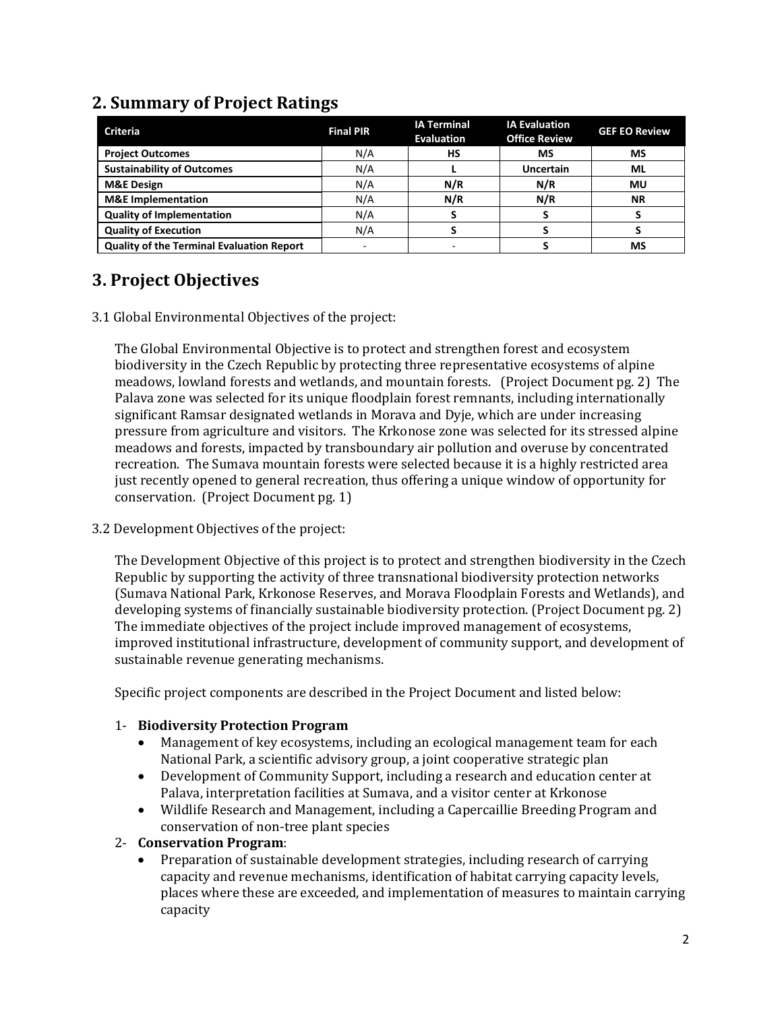| <b>Criteria</b>                                  | <b>Final PIR</b> | <b>IA Terminal</b><br><b>Evaluation</b> | <b>IA Evaluation</b><br><b>Office Review</b> | <b>GEF EO Review</b> |
|--------------------------------------------------|------------------|-----------------------------------------|----------------------------------------------|----------------------|
| <b>Project Outcomes</b>                          | N/A              | HS                                      | МS                                           | MS                   |
| <b>Sustainability of Outcomes</b>                | N/A              |                                         | <b>Uncertain</b>                             | <b>ML</b>            |
| <b>M&amp;E Design</b>                            | N/A              | N/R                                     | N/R                                          | MU                   |
| <b>M&amp;E</b> Implementation                    | N/A              | N/R                                     | N/R                                          | <b>NR</b>            |
| <b>Quality of Implementation</b>                 | N/A              |                                         |                                              |                      |
| <b>Quality of Execution</b>                      | N/A              |                                         |                                              |                      |
| <b>Quality of the Terminal Evaluation Report</b> |                  |                                         |                                              | MS                   |

## **2. Summary of Project Ratings**

## **3. Project Objectives**

3.1 Global Environmental Objectives of the project:

The Global Environmental Objective is to protect and strengthen forest and ecosystem biodiversity in the Czech Republic by protecting three representative ecosystems of alpine meadows, lowland forests and wetlands, and mountain forests. (Project Document pg. 2) The Palava zone was selected for its unique floodplain forest remnants, including internationally significant Ramsar designated wetlands in Morava and Dyje, which are under increasing pressure from agriculture and visitors. The Krkonose zone was selected for its stressed alpine meadows and forests, impacted by transboundary air pollution and overuse by concentrated recreation. The Sumava mountain forests were selected because it is a highly restricted area just recently opened to general recreation, thus offering a unique window of opportunity for conservation. (Project Document pg. 1)

3.2 Development Objectives of the project:

The Development Objective of this project is to protect and strengthen biodiversity in the Czech Republic by supporting the activity of three transnational biodiversity protection networks (Sumava National Park, Krkonose Reserves, and Morava Floodplain Forests and Wetlands), and developing systems of financially sustainable biodiversity protection. (Project Document pg. 2) The immediate objectives of the project include improved management of ecosystems, improved institutional infrastructure, development of community support, and development of sustainable revenue generating mechanisms.

Specific project components are described in the Project Document and listed below:

#### 1- **Biodiversity Protection Program**

- Management of key ecosystems, including an ecological management team for each National Park, a scientific advisory group, a joint cooperative strategic plan
- Development of Community Support, including a research and education center at Palava, interpretation facilities at Sumava, and a visitor center at Krkonose
- Wildlife Research and Management, including a Capercaillie Breeding Program and conservation of non-tree plant species
- 2- **Conservation Program**:
	- Preparation of sustainable development strategies, including research of carrying capacity and revenue mechanisms, identification of habitat carrying capacity levels, places where these are exceeded, and implementation of measures to maintain carrying capacity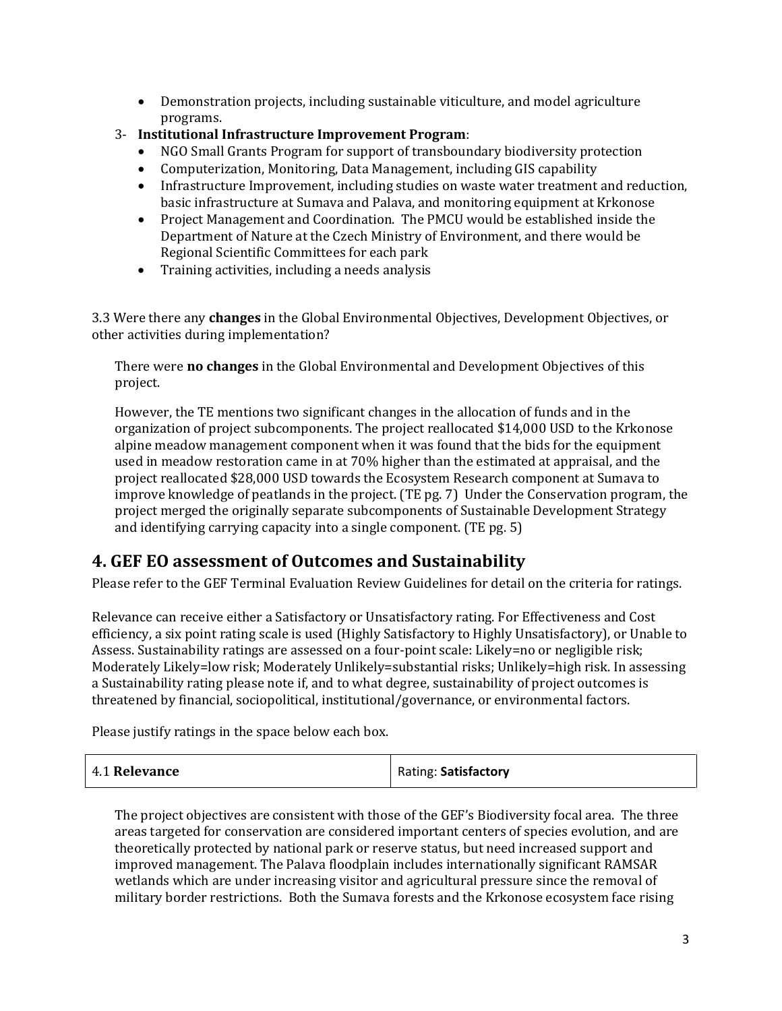- Demonstration projects, including sustainable viticulture, and model agriculture programs.
- 3- **Institutional Infrastructure Improvement Program**:
	- NGO Small Grants Program for support of transboundary biodiversity protection
	- Computerization, Monitoring, Data Management, including GIS capability
	- Infrastructure Improvement, including studies on waste water treatment and reduction, basic infrastructure at Sumava and Palava, and monitoring equipment at Krkonose
	- Project Management and Coordination. The PMCU would be established inside the Department of Nature at the Czech Ministry of Environment, and there would be Regional Scientific Committees for each park
	- Training activities, including a needs analysis

3.3 Were there any **changes** in the Global Environmental Objectives, Development Objectives, or other activities during implementation?

There were **no changes** in the Global Environmental and Development Objectives of this project.

However, the TE mentions two significant changes in the allocation of funds and in the organization of project subcomponents. The project reallocated \$14,000 USD to the Krkonose alpine meadow management component when it was found that the bids for the equipment used in meadow restoration came in at 70% higher than the estimated at appraisal, and the project reallocated \$28,000 USD towards the Ecosystem Research component at Sumava to improve knowledge of peatlands in the project. (TE pg. 7) Under the Conservation program, the project merged the originally separate subcomponents of Sustainable Development Strategy and identifying carrying capacity into a single component. (TE pg. 5)

#### **4. GEF EO assessment of Outcomes and Sustainability**

Please refer to the GEF Terminal Evaluation Review Guidelines for detail on the criteria for ratings.

Relevance can receive either a Satisfactory or Unsatisfactory rating. For Effectiveness and Cost efficiency, a six point rating scale is used (Highly Satisfactory to Highly Unsatisfactory), or Unable to Assess. Sustainability ratings are assessed on a four-point scale: Likely=no or negligible risk; Moderately Likely=low risk; Moderately Unlikely=substantial risks; Unlikely=high risk. In assessing a Sustainability rating please note if, and to what degree, sustainability of project outcomes is threatened by financial, sociopolitical, institutional/governance, or environmental factors.

Please justify ratings in the space below each box.

| 4.1 Relevance | Rating: Satisfactory |
|---------------|----------------------|
|               |                      |

The project objectives are consistent with those of the GEF's Biodiversity focal area. The three areas targeted for conservation are considered important centers of species evolution, and are theoretically protected by national park or reserve status, but need increased support and improved management. The Palava floodplain includes internationally significant RAMSAR wetlands which are under increasing visitor and agricultural pressure since the removal of military border restrictions. Both the Sumava forests and the Krkonose ecosystem face rising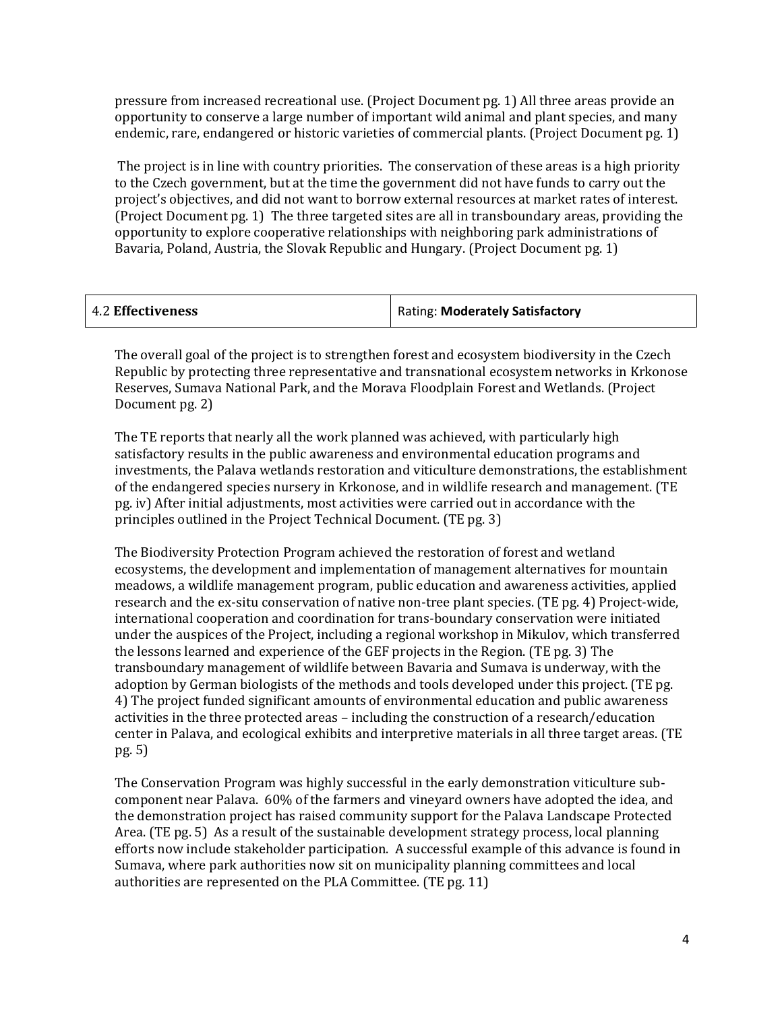pressure from increased recreational use. (Project Document pg. 1) All three areas provide an opportunity to conserve a large number of important wild animal and plant species, and many endemic, rare, endangered or historic varieties of commercial plants. (Project Document pg. 1)

The project is in line with country priorities. The conservation of these areas is a high priority to the Czech government, but at the time the government did not have funds to carry out the project's objectives, and did not want to borrow external resources at market rates of interest. (Project Document pg. 1) The three targeted sites are all in transboundary areas, providing the opportunity to explore cooperative relationships with neighboring park administrations of Bavaria, Poland, Austria, the Slovak Republic and Hungary. (Project Document pg. 1)

| 4.2 Effectiveness | Rating: Moderately Satisfactory |
|-------------------|---------------------------------|
|-------------------|---------------------------------|

The overall goal of the project is to strengthen forest and ecosystem biodiversity in the Czech Republic by protecting three representative and transnational ecosystem networks in Krkonose Reserves, Sumava National Park, and the Morava Floodplain Forest and Wetlands. (Project Document pg. 2)

The TE reports that nearly all the work planned was achieved, with particularly high satisfactory results in the public awareness and environmental education programs and investments, the Palava wetlands restoration and viticulture demonstrations, the establishment of the endangered species nursery in Krkonose, and in wildlife research and management. (TE pg. iv) After initial adjustments, most activities were carried out in accordance with the principles outlined in the Project Technical Document. (TE pg. 3)

The Biodiversity Protection Program achieved the restoration of forest and wetland ecosystems, the development and implementation of management alternatives for mountain meadows, a wildlife management program, public education and awareness activities, applied research and the ex-situ conservation of native non-tree plant species. (TE pg. 4) Project-wide, international cooperation and coordination for trans-boundary conservation were initiated under the auspices of the Project, including a regional workshop in Mikulov, which transferred the lessons learned and experience of the GEF projects in the Region. (TE pg. 3) The transboundary management of wildlife between Bavaria and Sumava is underway, with the adoption by German biologists of the methods and tools developed under this project. (TE pg. 4) The project funded significant amounts of environmental education and public awareness activities in the three protected areas – including the construction of a research/education center in Palava, and ecological exhibits and interpretive materials in all three target areas. (TE pg. 5)

The Conservation Program was highly successful in the early demonstration viticulture subcomponent near Palava. 60% of the farmers and vineyard owners have adopted the idea, and the demonstration project has raised community support for the Palava Landscape Protected Area. (TE pg. 5) As a result of the sustainable development strategy process, local planning efforts now include stakeholder participation. A successful example of this advance is found in Sumava, where park authorities now sit on municipality planning committees and local authorities are represented on the PLA Committee. (TE pg. 11)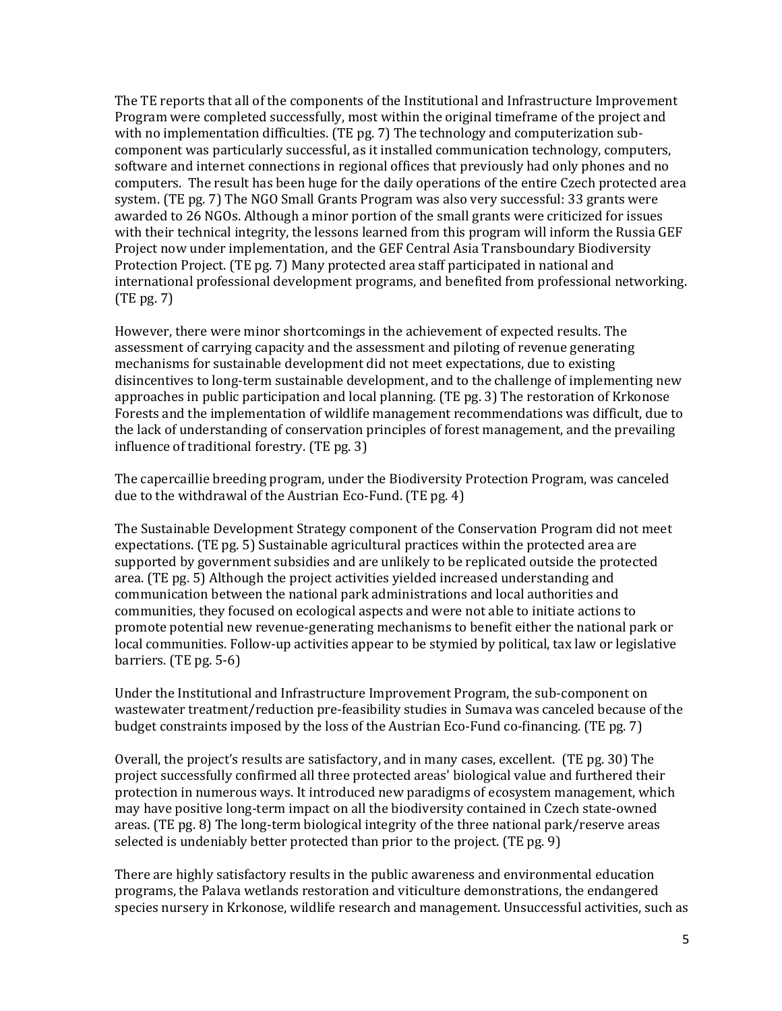The TE reports that all of the components of the Institutional and Infrastructure Improvement Program were completed successfully, most within the original timeframe of the project and with no implementation difficulties. (TE pg. 7) The technology and computerization subcomponent was particularly successful, as it installed communication technology, computers, software and internet connections in regional offices that previously had only phones and no computers. The result has been huge for the daily operations of the entire Czech protected area system. (TE pg. 7) The NGO Small Grants Program was also very successful: 33 grants were awarded to 26 NGOs. Although a minor portion of the small grants were criticized for issues with their technical integrity, the lessons learned from this program will inform the Russia GEF Project now under implementation, and the GEF Central Asia Transboundary Biodiversity Protection Project. (TE pg. 7) Many protected area staff participated in national and international professional development programs, and benefited from professional networking. (TE pg. 7)

However, there were minor shortcomings in the achievement of expected results. The assessment of carrying capacity and the assessment and piloting of revenue generating mechanisms for sustainable development did not meet expectations, due to existing disincentives to long-term sustainable development, and to the challenge of implementing new approaches in public participation and local planning. (TE pg. 3) The restoration of Krkonose Forests and the implementation of wildlife management recommendations was difficult, due to the lack of understanding of conservation principles of forest management, and the prevailing influence of traditional forestry. (TE pg. 3)

The capercaillie breeding program, under the Biodiversity Protection Program, was canceled due to the withdrawal of the Austrian Eco-Fund. (TE pg. 4)

The Sustainable Development Strategy component of the Conservation Program did not meet expectations. (TE pg. 5) Sustainable agricultural practices within the protected area are supported by government subsidies and are unlikely to be replicated outside the protected area. (TE pg. 5) Although the project activities yielded increased understanding and communication between the national park administrations and local authorities and communities, they focused on ecological aspects and were not able to initiate actions to promote potential new revenue-generating mechanisms to benefit either the national park or local communities. Follow-up activities appear to be stymied by political, tax law or legislative barriers. (TE pg. 5-6)

Under the Institutional and Infrastructure Improvement Program, the sub-component on wastewater treatment/reduction pre-feasibility studies in Sumava was canceled because of the budget constraints imposed by the loss of the Austrian Eco-Fund co-financing. (TE pg. 7)

Overall, the project's results are satisfactory, and in many cases, excellent. (TE pg. 30) The project successfully confirmed all three protected areas' biological value and furthered their protection in numerous ways. It introduced new paradigms of ecosystem management, which may have positive long-term impact on all the biodiversity contained in Czech state-owned areas. (TE pg. 8) The long-term biological integrity of the three national park/reserve areas selected is undeniably better protected than prior to the project. (TE pg. 9)

There are highly satisfactory results in the public awareness and environmental education programs, the Palava wetlands restoration and viticulture demonstrations, the endangered species nursery in Krkonose, wildlife research and management. Unsuccessful activities, such as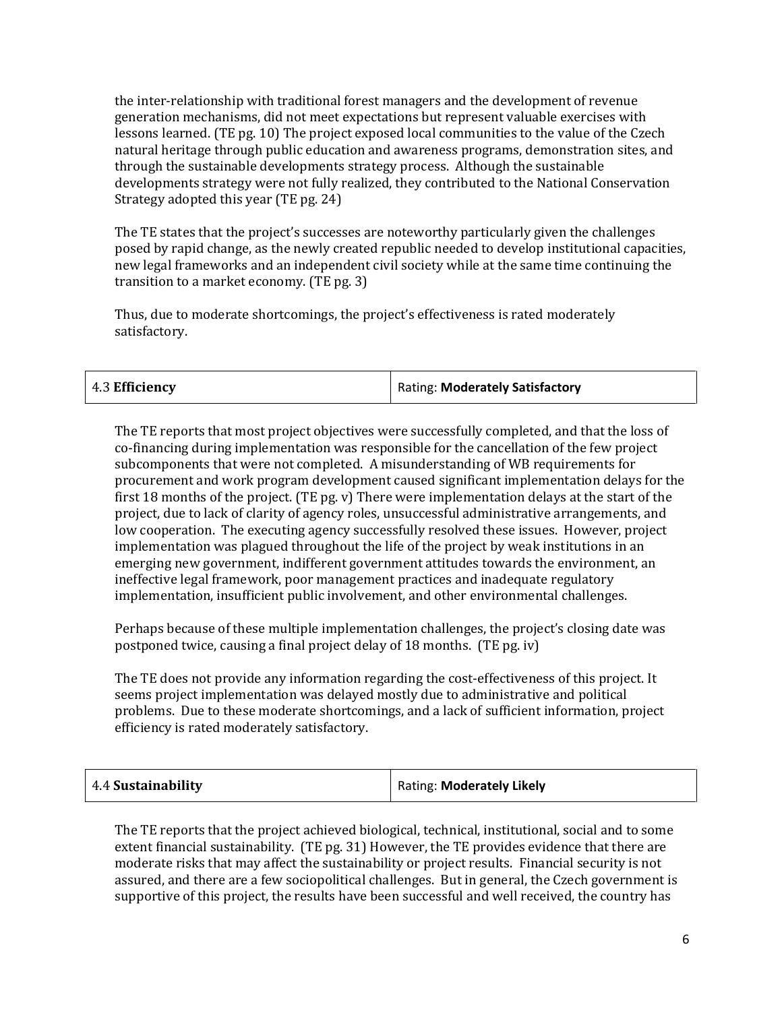the inter-relationship with traditional forest managers and the development of revenue generation mechanisms, did not meet expectations but represent valuable exercises with lessons learned. (TE pg. 10) The project exposed local communities to the value of the Czech natural heritage through public education and awareness programs, demonstration sites, and through the sustainable developments strategy process. Although the sustainable developments strategy were not fully realized, they contributed to the National Conservation Strategy adopted this year (TE pg. 24)

The TE states that the project's successes are noteworthy particularly given the challenges posed by rapid change, as the newly created republic needed to develop institutional capacities, new legal frameworks and an independent civil society while at the same time continuing the transition to a market economy. (TE pg. 3)

Thus, due to moderate shortcomings, the project's effectiveness is rated moderately satisfactory.

| Rating: Moderately Satisfactory |
|---------------------------------|
|                                 |

The TE reports that most project objectives were successfully completed, and that the loss of co-financing during implementation was responsible for the cancellation of the few project subcomponents that were not completed. A misunderstanding of WB requirements for procurement and work program development caused significant implementation delays for the first 18 months of the project. (TE pg. v) There were implementation delays at the start of the project, due to lack of clarity of agency roles, unsuccessful administrative arrangements, and low cooperation. The executing agency successfully resolved these issues. However, project implementation was plagued throughout the life of the project by weak institutions in an emerging new government, indifferent government attitudes towards the environment, an ineffective legal framework, poor management practices and inadequate regulatory implementation, insufficient public involvement, and other environmental challenges.

Perhaps because of these multiple implementation challenges, the project's closing date was postponed twice, causing a final project delay of 18 months. (TE pg. iv)

The TE does not provide any information regarding the cost-effectiveness of this project. It seems project implementation was delayed mostly due to administrative and political problems. Due to these moderate shortcomings, and a lack of sufficient information, project efficiency is rated moderately satisfactory.

| $+4.4$ Sustainability | Rating: Moderately Likely |
|-----------------------|---------------------------|
|-----------------------|---------------------------|

The TE reports that the project achieved biological, technical, institutional, social and to some extent financial sustainability. (TE pg. 31) However, the TE provides evidence that there are moderate risks that may affect the sustainability or project results. Financial security is not assured, and there are a few sociopolitical challenges. But in general, the Czech government is supportive of this project, the results have been successful and well received, the country has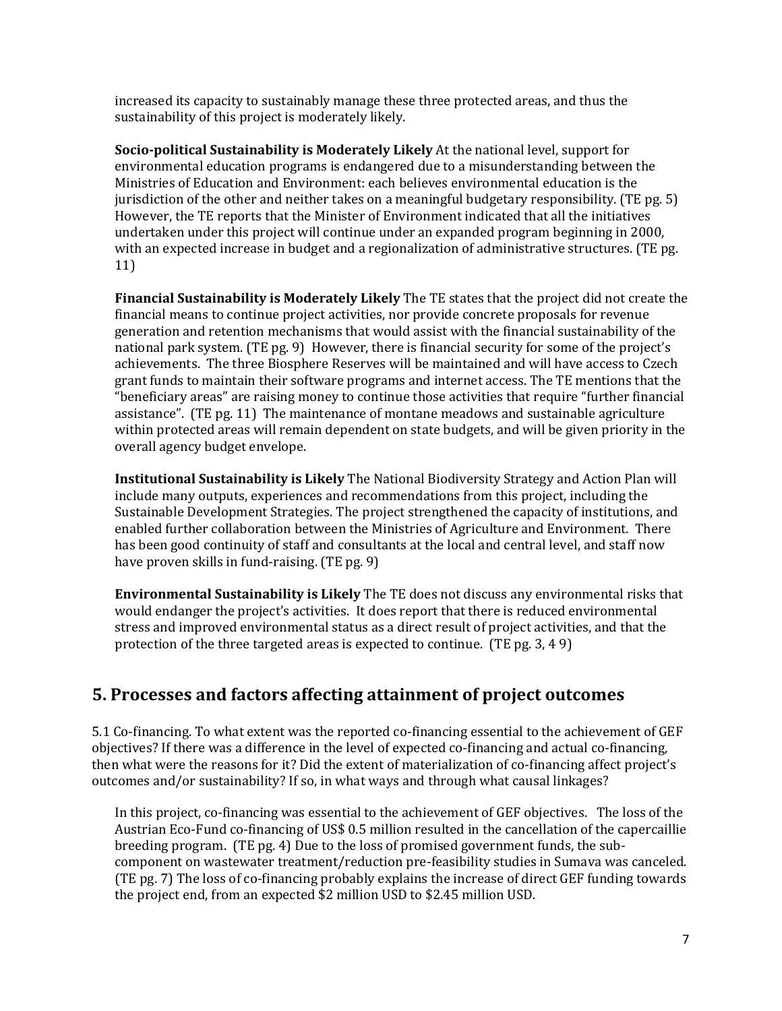increased its capacity to sustainably manage these three protected areas, and thus the sustainability of this project is moderately likely.

**Socio-political Sustainability is Moderately Likely** At the national level, support for environmental education programs is endangered due to a misunderstanding between the Ministries of Education and Environment: each believes environmental education is the jurisdiction of the other and neither takes on a meaningful budgetary responsibility. (TE pg. 5) However, the TE reports that the Minister of Environment indicated that all the initiatives undertaken under this project will continue under an expanded program beginning in 2000, with an expected increase in budget and a regionalization of administrative structures. (TE pg. 11)

**Financial Sustainability is Moderately Likely** The TE states that the project did not create the financial means to continue project activities, nor provide concrete proposals for revenue generation and retention mechanisms that would assist with the financial sustainability of the national park system. (TE pg. 9) However, there is financial security for some of the project's achievements. The three Biosphere Reserves will be maintained and will have access to Czech grant funds to maintain their software programs and internet access. The TE mentions that the "beneficiary areas" are raising money to continue those activities that require "further financial assistance". (TE pg. 11) The maintenance of montane meadows and sustainable agriculture within protected areas will remain dependent on state budgets, and will be given priority in the overall agency budget envelope.

**Institutional Sustainability is Likely** The National Biodiversity Strategy and Action Plan will include many outputs, experiences and recommendations from this project, including the Sustainable Development Strategies. The project strengthened the capacity of institutions, and enabled further collaboration between the Ministries of Agriculture and Environment. There has been good continuity of staff and consultants at the local and central level, and staff now have proven skills in fund-raising. (TE pg. 9)

**Environmental Sustainability is Likely** The TE does not discuss any environmental risks that would endanger the project's activities. It does report that there is reduced environmental stress and improved environmental status as a direct result of project activities, and that the protection of the three targeted areas is expected to continue. (TE pg. 3, 4 9)

#### **5. Processes and factors affecting attainment of project outcomes**

5.1 Co-financing. To what extent was the reported co-financing essential to the achievement of GEF objectives? If there was a difference in the level of expected co-financing and actual co-financing, then what were the reasons for it? Did the extent of materialization of co-financing affect project's outcomes and/or sustainability? If so, in what ways and through what causal linkages?

In this project, co-financing was essential to the achievement of GEF objectives. The loss of the Austrian Eco-Fund co-financing of US\$ 0.5 million resulted in the cancellation of the capercaillie breeding program. (TE pg. 4) Due to the loss of promised government funds, the subcomponent on wastewater treatment/reduction pre-feasibility studies in Sumava was canceled. (TE pg. 7) The loss of co-financing probably explains the increase of direct GEF funding towards the project end, from an expected \$2 million USD to \$2.45 million USD.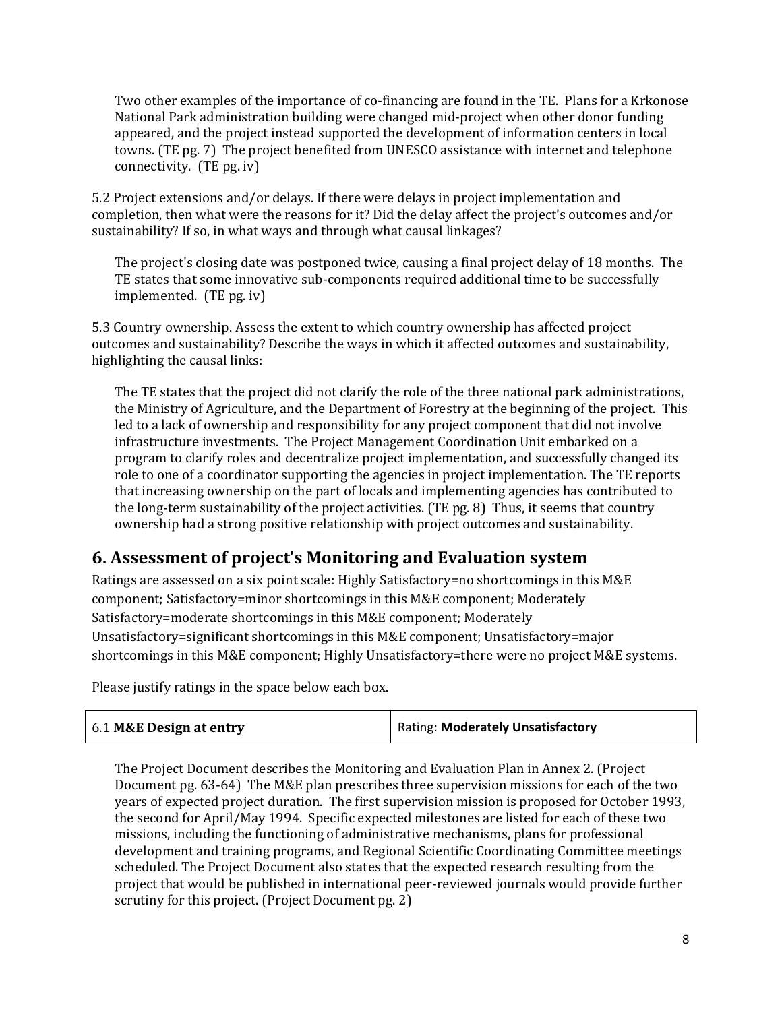Two other examples of the importance of co-financing are found in the TE. Plans for a Krkonose National Park administration building were changed mid-project when other donor funding appeared, and the project instead supported the development of information centers in local towns. (TE pg. 7) The project benefited from UNESCO assistance with internet and telephone connectivity. (TE pg. iv)

5.2 Project extensions and/or delays. If there were delays in project implementation and completion, then what were the reasons for it? Did the delay affect the project's outcomes and/or sustainability? If so, in what ways and through what causal linkages?

The project's closing date was postponed twice, causing a final project delay of 18 months. The TE states that some innovative sub-components required additional time to be successfully implemented. (TE pg. iv)

5.3 Country ownership. Assess the extent to which country ownership has affected project outcomes and sustainability? Describe the ways in which it affected outcomes and sustainability, highlighting the causal links:

The TE states that the project did not clarify the role of the three national park administrations, the Ministry of Agriculture, and the Department of Forestry at the beginning of the project. This led to a lack of ownership and responsibility for any project component that did not involve infrastructure investments. The Project Management Coordination Unit embarked on a program to clarify roles and decentralize project implementation, and successfully changed its role to one of a coordinator supporting the agencies in project implementation. The TE reports that increasing ownership on the part of locals and implementing agencies has contributed to the long-term sustainability of the project activities. (TE pg. 8) Thus, it seems that country ownership had a strong positive relationship with project outcomes and sustainability.

# **6. Assessment of project's Monitoring and Evaluation system**

Ratings are assessed on a six point scale: Highly Satisfactory=no shortcomings in this M&E component; Satisfactory=minor shortcomings in this M&E component; Moderately Satisfactory=moderate shortcomings in this M&E component; Moderately Unsatisfactory=significant shortcomings in this M&E component; Unsatisfactory=major shortcomings in this M&E component; Highly Unsatisfactory=there were no project M&E systems.

Please justify ratings in the space below each box.

| 6.1 M&E Design at entry | Rating: Moderately Unsatisfactory |
|-------------------------|-----------------------------------|
|                         |                                   |

The Project Document describes the Monitoring and Evaluation Plan in Annex 2. (Project Document pg. 63-64) The M&E plan prescribes three supervision missions for each of the two years of expected project duration. The first supervision mission is proposed for October 1993, the second for April/May 1994. Specific expected milestones are listed for each of these two missions, including the functioning of administrative mechanisms, plans for professional development and training programs, and Regional Scientific Coordinating Committee meetings scheduled. The Project Document also states that the expected research resulting from the project that would be published in international peer-reviewed journals would provide further scrutiny for this project. (Project Document pg. 2)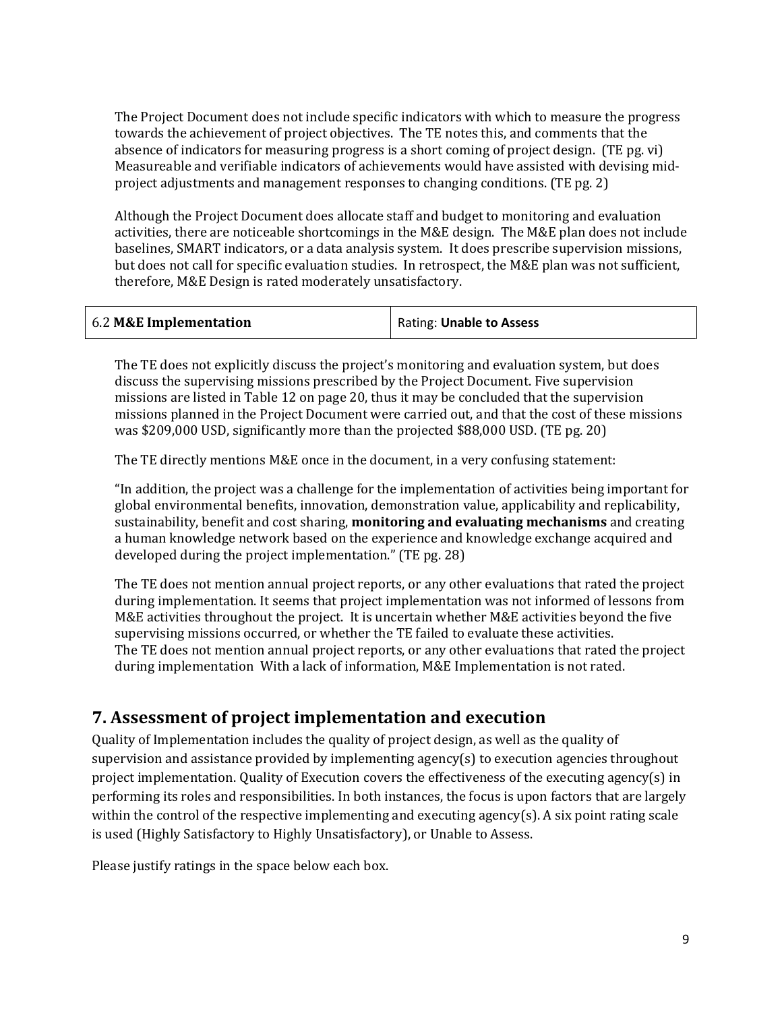The Project Document does not include specific indicators with which to measure the progress towards the achievement of project objectives. The TE notes this, and comments that the absence of indicators for measuring progress is a short coming of project design. (TE pg. vi) Measureable and verifiable indicators of achievements would have assisted with devising midproject adjustments and management responses to changing conditions. (TE pg. 2)

Although the Project Document does allocate staff and budget to monitoring and evaluation activities, there are noticeable shortcomings in the M&E design. The M&E plan does not include baselines, SMART indicators, or a data analysis system. It does prescribe supervision missions, but does not call for specific evaluation studies. In retrospect, the M&E plan was not sufficient, therefore, M&E Design is rated moderately unsatisfactory.

|  | 6.2 M&E Implementation | Rating: Unable to Assess |
|--|------------------------|--------------------------|
|--|------------------------|--------------------------|

The TE does not explicitly discuss the project's monitoring and evaluation system, but does discuss the supervising missions prescribed by the Project Document. Five supervision missions are listed in Table 12 on page 20, thus it may be concluded that the supervision missions planned in the Project Document were carried out, and that the cost of these missions was \$209,000 USD, significantly more than the projected \$88,000 USD. (TE pg. 20)

The TE directly mentions M&E once in the document, in a very confusing statement:

"In addition, the project was a challenge for the implementation of activities being important for global environmental benefits, innovation, demonstration value, applicability and replicability, sustainability, benefit and cost sharing, **monitoring and evaluating mechanisms** and creating a human knowledge network based on the experience and knowledge exchange acquired and developed during the project implementation." (TE pg. 28)

The TE does not mention annual project reports, or any other evaluations that rated the project during implementation. It seems that project implementation was not informed of lessons from M&E activities throughout the project. It is uncertain whether M&E activities beyond the five supervising missions occurred, or whether the TE failed to evaluate these activities. The TE does not mention annual project reports, or any other evaluations that rated the project during implementation With a lack of information, M&E Implementation is not rated.

#### **7. Assessment of project implementation and execution**

Quality of Implementation includes the quality of project design, as well as the quality of supervision and assistance provided by implementing agency(s) to execution agencies throughout project implementation. Quality of Execution covers the effectiveness of the executing agency(s) in performing its roles and responsibilities. In both instances, the focus is upon factors that are largely within the control of the respective implementing and executing agency(s). A six point rating scale is used (Highly Satisfactory to Highly Unsatisfactory), or Unable to Assess.

Please justify ratings in the space below each box.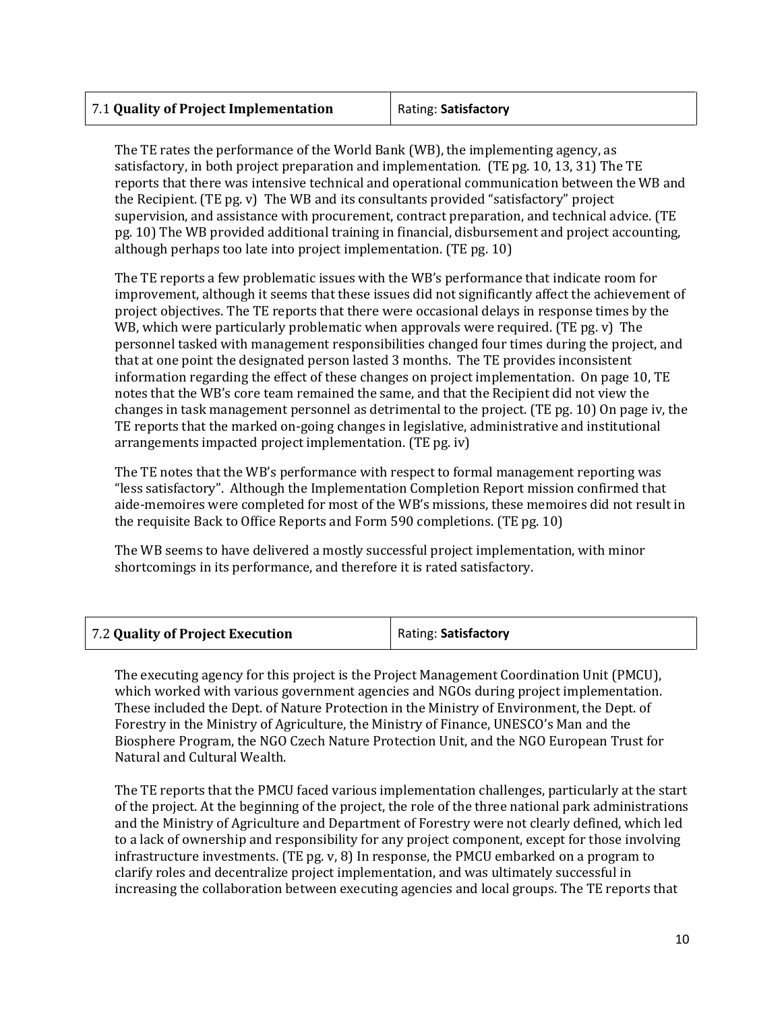| 7.1 Quality of Project Implementation | Rating: Satisfactory |
|---------------------------------------|----------------------|
|                                       |                      |

The TE rates the performance of the World Bank (WB), the implementing agency, as satisfactory, in both project preparation and implementation. (TE pg. 10, 13, 31) The TE reports that there was intensive technical and operational communication between the WB and the Recipient. (TE pg. v) The WB and its consultants provided "satisfactory" project supervision, and assistance with procurement, contract preparation, and technical advice. (TE pg. 10) The WB provided additional training in financial, disbursement and project accounting, although perhaps too late into project implementation. (TE pg. 10)

The TE reports a few problematic issues with the WB's performance that indicate room for improvement, although it seems that these issues did not significantly affect the achievement of project objectives. The TE reports that there were occasional delays in response times by the WB, which were particularly problematic when approvals were required. (TE pg. v) The personnel tasked with management responsibilities changed four times during the project, and that at one point the designated person lasted 3 months. The TE provides inconsistent information regarding the effect of these changes on project implementation. On page 10, TE notes that the WB's core team remained the same, and that the Recipient did not view the changes in task management personnel as detrimental to the project. (TE pg. 10) On page iv, the TE reports that the marked on-going changes in legislative, administrative and institutional arrangements impacted project implementation. (TE pg. iv)

The TE notes that the WB's performance with respect to formal management reporting was "less satisfactory". Although the Implementation Completion Report mission confirmed that aide-memoires were completed for most of the WB's missions, these memoires did not result in the requisite Back to Office Reports and Form 590 completions. (TE pg. 10)

The WB seems to have delivered a mostly successful project implementation, with minor shortcomings in its performance, and therefore it is rated satisfactory.

| 7.2 Quality of Project Execution | Rating: Satisfactory |
|----------------------------------|----------------------|
|----------------------------------|----------------------|

The executing agency for this project is the Project Management Coordination Unit (PMCU), which worked with various government agencies and NGOs during project implementation. These included the Dept. of Nature Protection in the Ministry of Environment, the Dept. of Forestry in the Ministry of Agriculture, the Ministry of Finance, UNESCO's Man and the Biosphere Program, the NGO Czech Nature Protection Unit, and the NGO European Trust for Natural and Cultural Wealth.

The TE reports that the PMCU faced various implementation challenges, particularly at the start of the project. At the beginning of the project, the role of the three national park administrations and the Ministry of Agriculture and Department of Forestry were not clearly defined, which led to a lack of ownership and responsibility for any project component, except for those involving infrastructure investments. (TE pg. v, 8) In response, the PMCU embarked on a program to clarify roles and decentralize project implementation, and was ultimately successful in increasing the collaboration between executing agencies and local groups. The TE reports that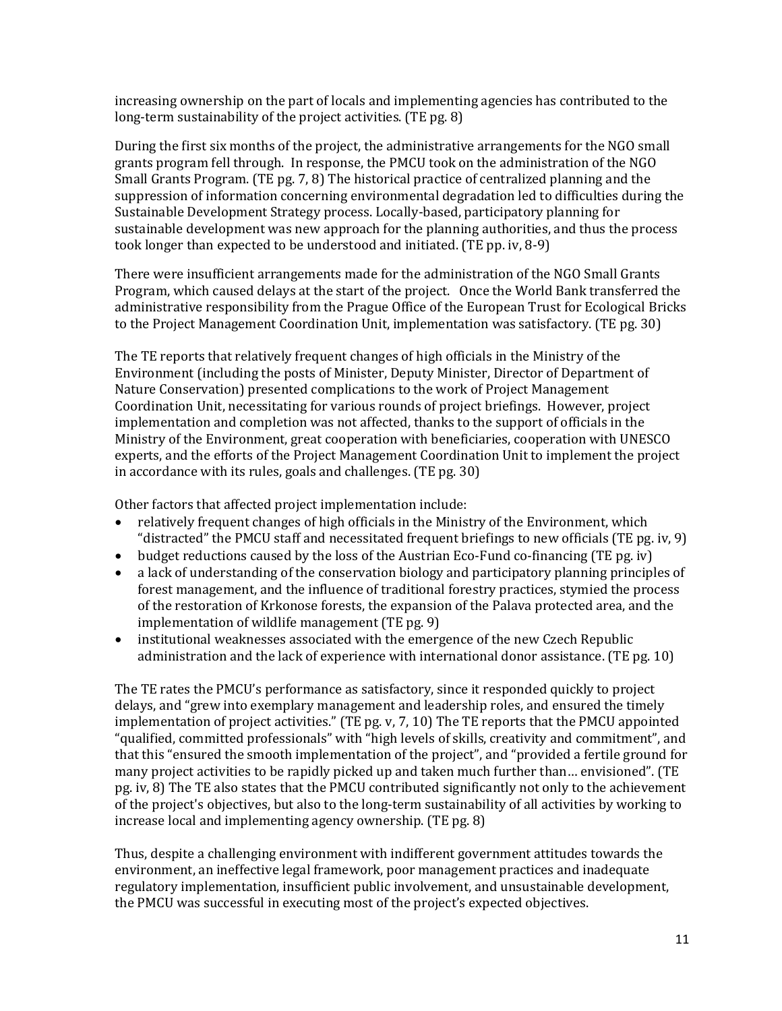increasing ownership on the part of locals and implementing agencies has contributed to the long-term sustainability of the project activities. (TE pg. 8)

During the first six months of the project, the administrative arrangements for the NGO small grants program fell through. In response, the PMCU took on the administration of the NGO Small Grants Program. (TE pg. 7, 8) The historical practice of centralized planning and the suppression of information concerning environmental degradation led to difficulties during the Sustainable Development Strategy process. Locally-based, participatory planning for sustainable development was new approach for the planning authorities, and thus the process took longer than expected to be understood and initiated. (TE pp. iv, 8-9)

There were insufficient arrangements made for the administration of the NGO Small Grants Program, which caused delays at the start of the project. Once the World Bank transferred the administrative responsibility from the Prague Office of the European Trust for Ecological Bricks to the Project Management Coordination Unit, implementation was satisfactory. (TE pg. 30)

The TE reports that relatively frequent changes of high officials in the Ministry of the Environment (including the posts of Minister, Deputy Minister, Director of Department of Nature Conservation) presented complications to the work of Project Management Coordination Unit, necessitating for various rounds of project briefings. However, project implementation and completion was not affected, thanks to the support of officials in the Ministry of the Environment, great cooperation with beneficiaries, cooperation with UNESCO experts, and the efforts of the Project Management Coordination Unit to implement the project in accordance with its rules, goals and challenges. (TE pg. 30)

Other factors that affected project implementation include:

- relatively frequent changes of high officials in the Ministry of the Environment, which "distracted" the PMCU staff and necessitated frequent briefings to new officials (TE pg. iv, 9)
- budget reductions caused by the loss of the Austrian Eco-Fund co-financing (TE pg. iv)
- a lack of understanding of the conservation biology and participatory planning principles of forest management, and the influence of traditional forestry practices, stymied the process of the restoration of Krkonose forests, the expansion of the Palava protected area, and the implementation of wildlife management (TE pg. 9)
- institutional weaknesses associated with the emergence of the new Czech Republic administration and the lack of experience with international donor assistance. (TE pg. 10)

The TE rates the PMCU's performance as satisfactory, since it responded quickly to project delays, and "grew into exemplary management and leadership roles, and ensured the timely implementation of project activities." (TE pg. v, 7, 10) The TE reports that the PMCU appointed "qualified, committed professionals" with "high levels of skills, creativity and commitment", and that this "ensured the smooth implementation of the project", and "provided a fertile ground for many project activities to be rapidly picked up and taken much further than… envisioned". (TE pg. iv, 8) The TE also states that the PMCU contributed significantly not only to the achievement of the project's objectives, but also to the long-term sustainability of all activities by working to increase local and implementing agency ownership. (TE pg. 8)

Thus, despite a challenging environment with indifferent government attitudes towards the environment, an ineffective legal framework, poor management practices and inadequate regulatory implementation, insufficient public involvement, and unsustainable development, the PMCU was successful in executing most of the project's expected objectives.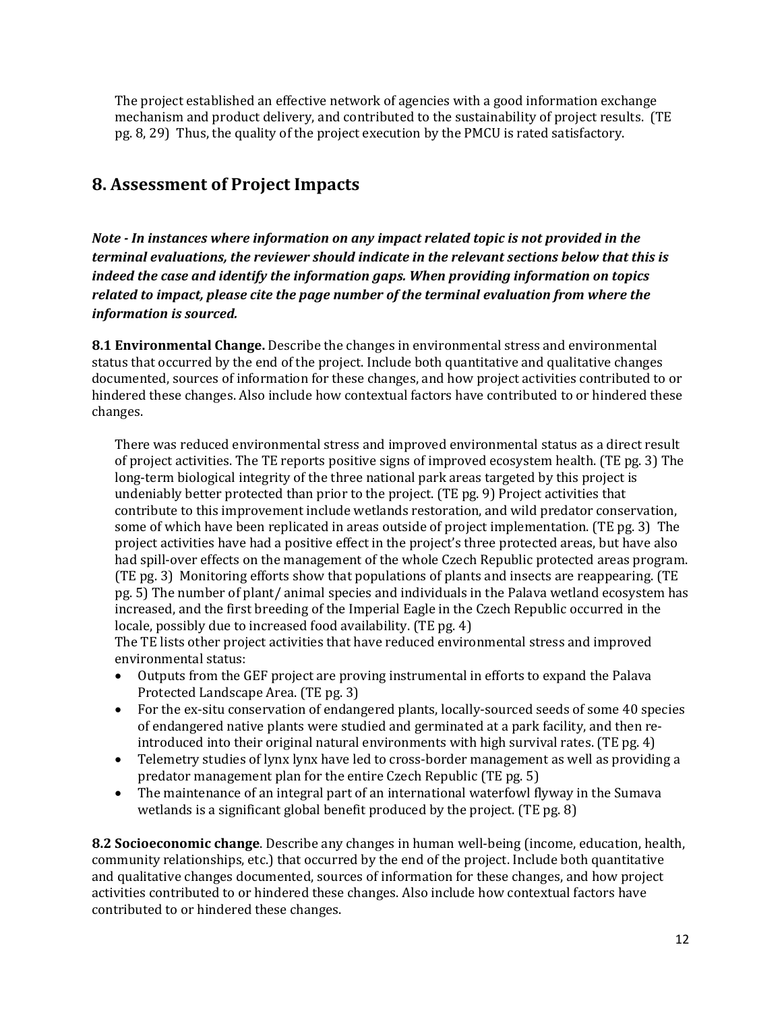The project established an effective network of agencies with a good information exchange mechanism and product delivery, and contributed to the sustainability of project results. (TE pg. 8, 29) Thus, the quality of the project execution by the PMCU is rated satisfactory.

# **8. Assessment of Project Impacts**

*Note - In instances where information on any impact related topic is not provided in the terminal evaluations, the reviewer should indicate in the relevant sections below that this is indeed the case and identify the information gaps. When providing information on topics related to impact, please cite the page number of the terminal evaluation from where the information is sourced.* 

**8.1 Environmental Change.** Describe the changes in environmental stress and environmental status that occurred by the end of the project. Include both quantitative and qualitative changes documented, sources of information for these changes, and how project activities contributed to or hindered these changes. Also include how contextual factors have contributed to or hindered these changes.

There was reduced environmental stress and improved environmental status as a direct result of project activities. The TE reports positive signs of improved ecosystem health. (TE pg. 3) The long-term biological integrity of the three national park areas targeted by this project is undeniably better protected than prior to the project. (TE pg. 9) Project activities that contribute to this improvement include wetlands restoration, and wild predator conservation, some of which have been replicated in areas outside of project implementation. (TE pg. 3) The project activities have had a positive effect in the project's three protected areas, but have also had spill-over effects on the management of the whole Czech Republic protected areas program. (TE pg. 3) Monitoring efforts show that populations of plants and insects are reappearing. (TE pg. 5) The number of plant/ animal species and individuals in the Palava wetland ecosystem has increased, and the first breeding of the Imperial Eagle in the Czech Republic occurred in the locale, possibly due to increased food availability. (TE pg. 4)

The TE lists other project activities that have reduced environmental stress and improved environmental status:

- Outputs from the GEF project are proving instrumental in efforts to expand the Palava Protected Landscape Area. (TE pg. 3)
- For the ex-situ conservation of endangered plants, locally-sourced seeds of some 40 species of endangered native plants were studied and germinated at a park facility, and then reintroduced into their original natural environments with high survival rates. (TE pg. 4)
- Telemetry studies of lynx lynx have led to cross-border management as well as providing a predator management plan for the entire Czech Republic (TE pg. 5)
- The maintenance of an integral part of an international waterfowl flyway in the Sumava wetlands is a significant global benefit produced by the project. (TE pg. 8)

**8.2 Socioeconomic change**. Describe any changes in human well-being (income, education, health, community relationships, etc.) that occurred by the end of the project. Include both quantitative and qualitative changes documented, sources of information for these changes, and how project activities contributed to or hindered these changes. Also include how contextual factors have contributed to or hindered these changes.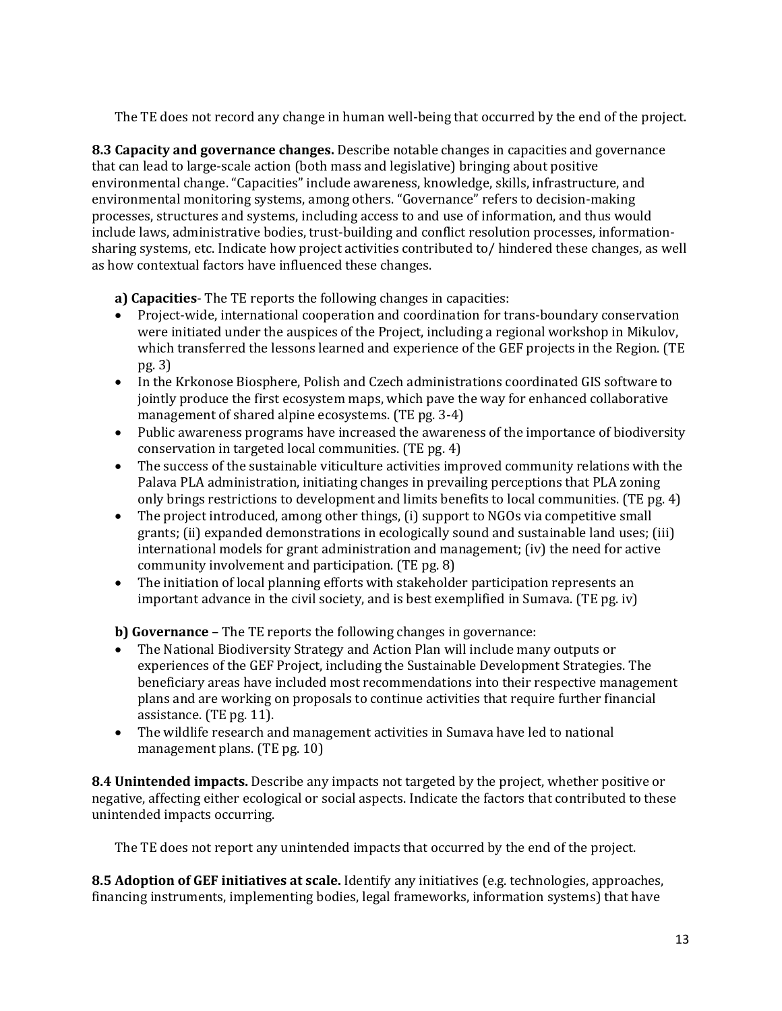The TE does not record any change in human well-being that occurred by the end of the project.

**8.3 Capacity and governance changes.** Describe notable changes in capacities and governance that can lead to large-scale action (both mass and legislative) bringing about positive environmental change. "Capacities" include awareness, knowledge, skills, infrastructure, and environmental monitoring systems, among others. "Governance" refers to decision-making processes, structures and systems, including access to and use of information, and thus would include laws, administrative bodies, trust-building and conflict resolution processes, informationsharing systems, etc. Indicate how project activities contributed to/ hindered these changes, as well as how contextual factors have influenced these changes.

**a) Capacities**- The TE reports the following changes in capacities:

- Project-wide, international cooperation and coordination for trans-boundary conservation were initiated under the auspices of the Project, including a regional workshop in Mikulov, which transferred the lessons learned and experience of the GEF projects in the Region. (TE pg. 3)
- In the Krkonose Biosphere, Polish and Czech administrations coordinated GIS software to jointly produce the first ecosystem maps, which pave the way for enhanced collaborative management of shared alpine ecosystems. (TE pg. 3-4)
- Public awareness programs have increased the awareness of the importance of biodiversity conservation in targeted local communities. (TE pg. 4)
- The success of the sustainable viticulture activities improved community relations with the Palava PLA administration, initiating changes in prevailing perceptions that PLA zoning only brings restrictions to development and limits benefits to local communities. (TE pg. 4)
- The project introduced, among other things, (i) support to NGOs via competitive small grants; (ii) expanded demonstrations in ecologically sound and sustainable land uses; (iii) international models for grant administration and management; (iv) the need for active community involvement and participation. (TE pg. 8)
- The initiation of local planning efforts with stakeholder participation represents an important advance in the civil society, and is best exemplified in Sumava. (TE pg. iv)

**b) Governance** – The TE reports the following changes in governance:

- The National Biodiversity Strategy and Action Plan will include many outputs or experiences of the GEF Project, including the Sustainable Development Strategies. The beneficiary areas have included most recommendations into their respective management plans and are working on proposals to continue activities that require further financial assistance. (TE pg. 11).
- The wildlife research and management activities in Sumava have led to national management plans. (TE pg. 10)

**8.4 Unintended impacts.** Describe any impacts not targeted by the project, whether positive or negative, affecting either ecological or social aspects. Indicate the factors that contributed to these unintended impacts occurring.

The TE does not report any unintended impacts that occurred by the end of the project.

**8.5 Adoption of GEF initiatives at scale.** Identify any initiatives (e.g. technologies, approaches, financing instruments, implementing bodies, legal frameworks, information systems) that have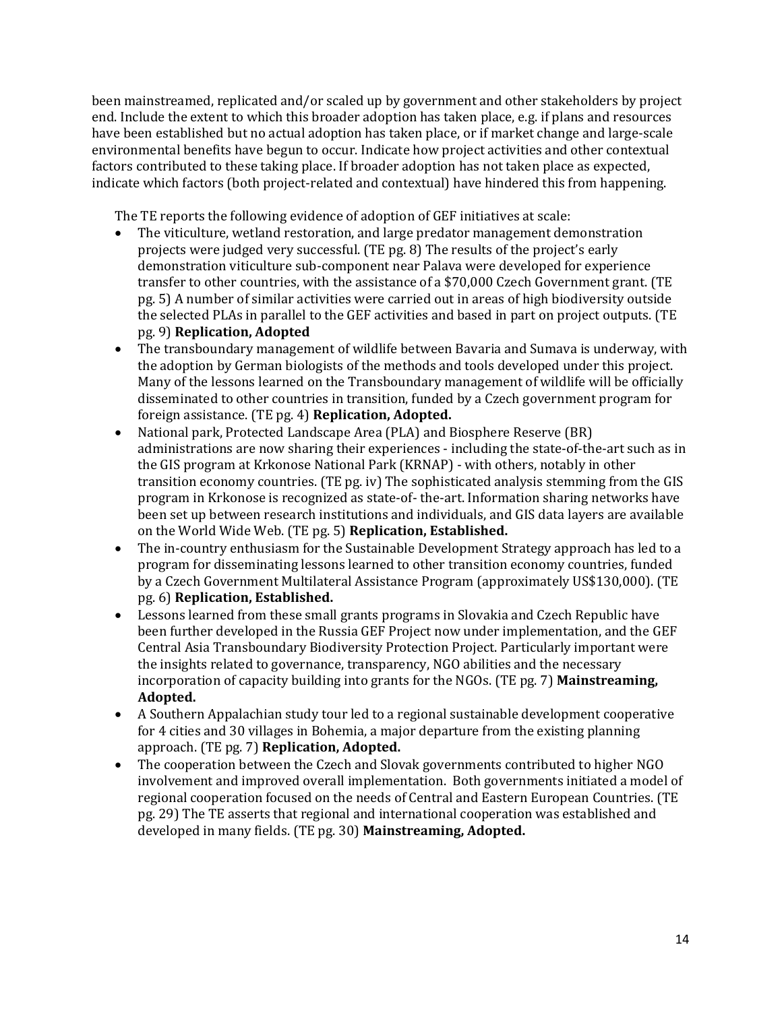been mainstreamed, replicated and/or scaled up by government and other stakeholders by project end. Include the extent to which this broader adoption has taken place, e.g. if plans and resources have been established but no actual adoption has taken place, or if market change and large-scale environmental benefits have begun to occur. Indicate how project activities and other contextual factors contributed to these taking place. If broader adoption has not taken place as expected, indicate which factors (both project-related and contextual) have hindered this from happening.

The TE reports the following evidence of adoption of GEF initiatives at scale:

- The viticulture, wetland restoration, and large predator management demonstration projects were judged very successful. (TE pg. 8) The results of the project's early demonstration viticulture sub-component near Palava were developed for experience transfer to other countries, with the assistance of a \$70,000 Czech Government grant. (TE pg. 5) A number of similar activities were carried out in areas of high biodiversity outside the selected PLAs in parallel to the GEF activities and based in part on project outputs. (TE pg. 9) **Replication, Adopted**
- The transboundary management of wildlife between Bavaria and Sumava is underway, with the adoption by German biologists of the methods and tools developed under this project. Many of the lessons learned on the Transboundary management of wildlife will be officially disseminated to other countries in transition, funded by a Czech government program for foreign assistance. (TE pg. 4) **Replication, Adopted.**
- National park, Protected Landscape Area (PLA) and Biosphere Reserve (BR) administrations are now sharing their experiences - including the state-of-the-art such as in the GIS program at Krkonose National Park (KRNAP) - with others, notably in other transition economy countries. (TE pg. iv) The sophisticated analysis stemming from the GIS program in Krkonose is recognized as state-of- the-art. Information sharing networks have been set up between research institutions and individuals, and GIS data layers are available on the World Wide Web. (TE pg. 5) **Replication, Established.**
- The in-country enthusiasm for the Sustainable Development Strategy approach has led to a program for disseminating lessons learned to other transition economy countries, funded by a Czech Government Multilateral Assistance Program (approximately US\$130,000). (TE pg. 6) **Replication, Established.**
- Lessons learned from these small grants programs in Slovakia and Czech Republic have been further developed in the Russia GEF Project now under implementation, and the GEF Central Asia Transboundary Biodiversity Protection Project. Particularly important were the insights related to governance, transparency, NGO abilities and the necessary incorporation of capacity building into grants for the NGOs. (TE pg. 7) **Mainstreaming, Adopted.**
- A Southern Appalachian study tour led to a regional sustainable development cooperative for 4 cities and 30 villages in Bohemia, a major departure from the existing planning approach. (TE pg. 7) **Replication, Adopted.**
- The cooperation between the Czech and Slovak governments contributed to higher NGO involvement and improved overall implementation. Both governments initiated a model of regional cooperation focused on the needs of Central and Eastern European Countries. (TE pg. 29) The TE asserts that regional and international cooperation was established and developed in many fields. (TE pg. 30) **Mainstreaming, Adopted.**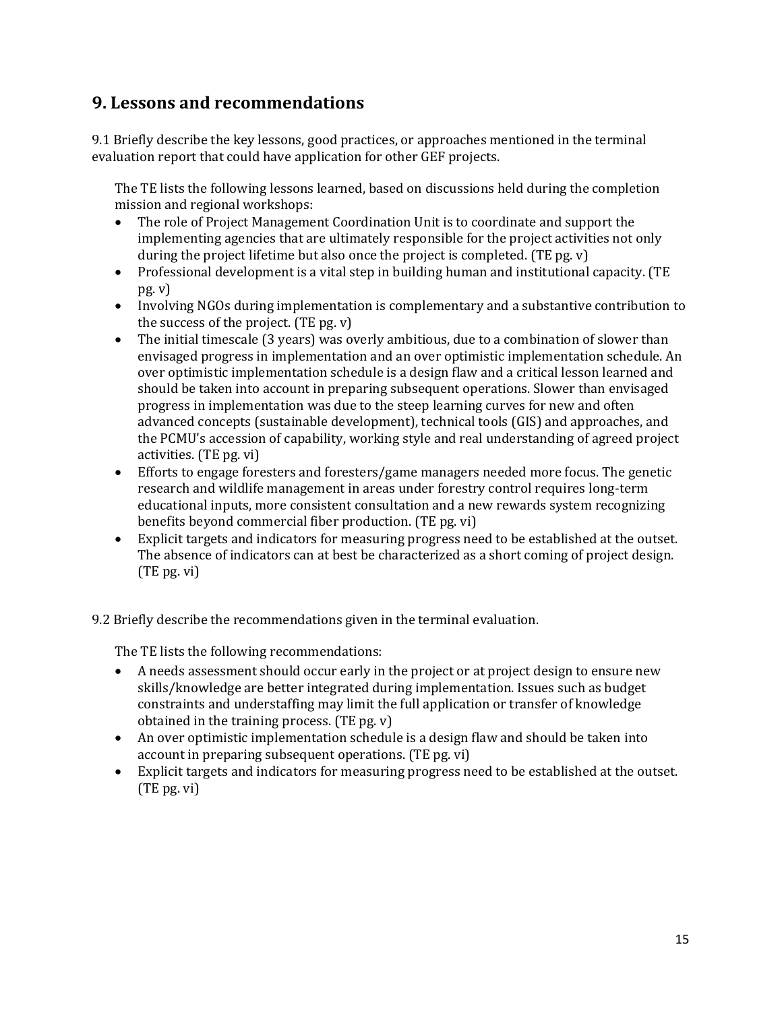#### **9. Lessons and recommendations**

9.1 Briefly describe the key lessons, good practices, or approaches mentioned in the terminal evaluation report that could have application for other GEF projects.

The TE lists the following lessons learned, based on discussions held during the completion mission and regional workshops:

- The role of Project Management Coordination Unit is to coordinate and support the implementing agencies that are ultimately responsible for the project activities not only during the project lifetime but also once the project is completed. (TE pg. v)
- Professional development is a vital step in building human and institutional capacity. (TE pg. v)
- Involving NGOs during implementation is complementary and a substantive contribution to the success of the project. (TE pg. v)
- The initial timescale (3 years) was overly ambitious, due to a combination of slower than envisaged progress in implementation and an over optimistic implementation schedule. An over optimistic implementation schedule is a design flaw and a critical lesson learned and should be taken into account in preparing subsequent operations. Slower than envisaged progress in implementation was due to the steep learning curves for new and often advanced concepts (sustainable development), technical tools (GIS) and approaches, and the PCMU's accession of capability, working style and real understanding of agreed project activities. (TE pg. vi)
- Efforts to engage foresters and foresters/game managers needed more focus. The genetic research and wildlife management in areas under forestry control requires long-term educational inputs, more consistent consultation and a new rewards system recognizing benefits beyond commercial fiber production. (TE pg. vi)
- Explicit targets and indicators for measuring progress need to be established at the outset. The absence of indicators can at best be characterized as a short coming of project design. (TE pg. vi)

9.2 Briefly describe the recommendations given in the terminal evaluation.

The TE lists the following recommendations:

- A needs assessment should occur early in the project or at project design to ensure new skills/knowledge are better integrated during implementation. Issues such as budget constraints and understaffing may limit the full application or transfer of knowledge obtained in the training process. (TE pg. v)
- An over optimistic implementation schedule is a design flaw and should be taken into account in preparing subsequent operations. (TE pg. vi)
- Explicit targets and indicators for measuring progress need to be established at the outset. (TE pg. vi)